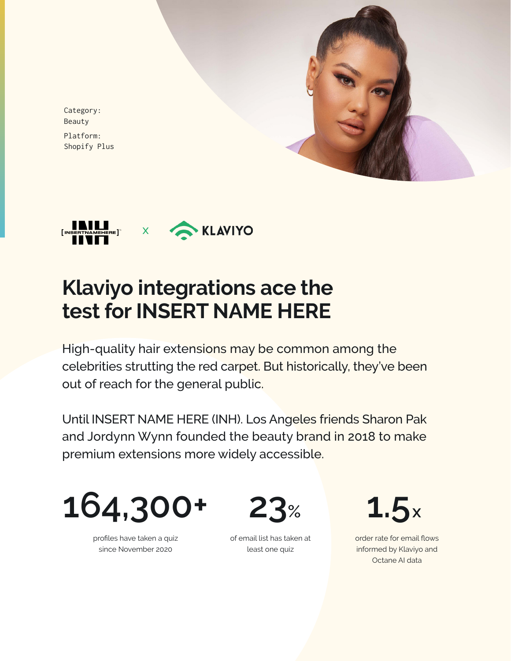

Category: Beauty Platform: Shopify Plus



# **Klaviyo integrations ace the test for INSERT NAME HERE**

High-quality hair extensions may be common among the celebrities strutting the red carpet. But historically, they've been out of reach for the general public.

Until INSERT NAME HERE (INH). Los Angeles friends Sharon Pak and Jordynn Wynn founded the beauty brand in 2018 to make premium extensions more widely accessible.



profiles have taken a quiz since November 2020

**23%**

of email list has taken at least one quiz

**1.5x**

order rate for email flows informed by Klaviyo and Octane AI data